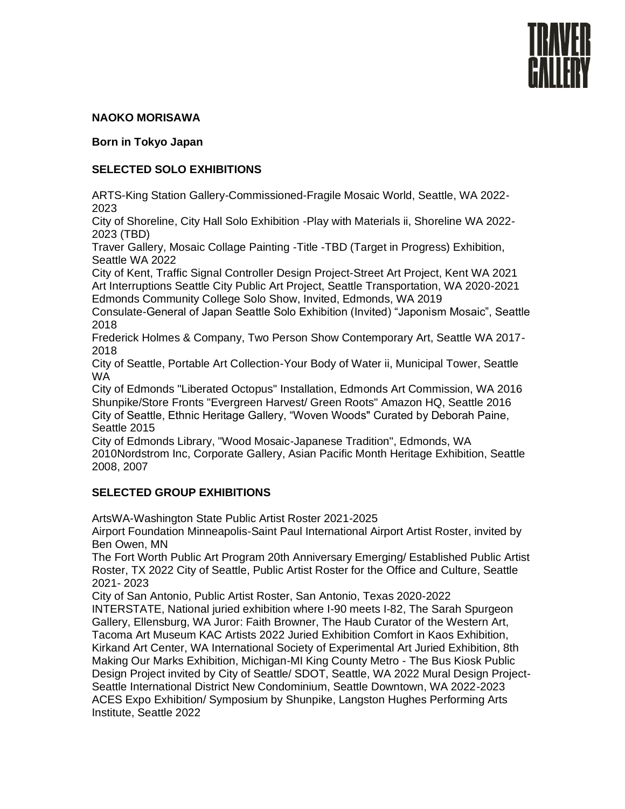

## **NAOKO MORISAWA**

**Born in Tokyo Japan** 

## **SELECTED SOLO EXHIBITIONS**

ARTS-King Station Gallery-Commissioned-Fragile Mosaic World, Seattle, WA 2022- 2023

City of Shoreline, City Hall Solo Exhibition -Play with Materials ii, Shoreline WA 2022- 2023 (TBD)

Traver Gallery, Mosaic Collage Painting -Title -TBD (Target in Progress) Exhibition, Seattle WA 2022

City of Kent, Traffic Signal Controller Design Project-Street Art Project, Kent WA 2021 Art Interruptions Seattle City Public Art Project, Seattle Transportation, WA 2020-2021 Edmonds Community College Solo Show, Invited, Edmonds, WA 2019

Consulate-General of Japan Seattle Solo Exhibition (Invited) "Japonism Mosaic", Seattle 2018

Frederick Holmes & Company, Two Person Show Contemporary Art, Seattle WA 2017- 2018

City of Seattle, Portable Art Collection-Your Body of Water ii, Municipal Tower, Seattle WA

City of Edmonds "Liberated Octopus" Installation, Edmonds Art Commission, WA 2016 Shunpike/Store Fronts "Evergreen Harvest/ Green Roots" Amazon HQ, Seattle 2016 City of Seattle, Ethnic Heritage Gallery, "Woven Woods" Curated by Deborah Paine, Seattle 2015

City of Edmonds Library, "Wood Mosaic-Japanese Tradition", Edmonds, WA 2010Nordstrom Inc, Corporate Gallery, Asian Pacific Month Heritage Exhibition, Seattle 2008, 2007

# **SELECTED GROUP EXHIBITIONS**

ArtsWA-Washington State Public Artist Roster 2021-2025

Airport Foundation Minneapolis-Saint Paul International Airport Artist Roster, invited by Ben Owen, MN

The Fort Worth Public Art Program 20th Anniversary Emerging/ Established Public Artist Roster, TX 2022 City of Seattle, Public Artist Roster for the Office and Culture, Seattle 2021- 2023

City of San Antonio, Public Artist Roster, San Antonio, Texas 2020-2022 INTERSTATE, National juried exhibition where I-90 meets I-82, The Sarah Spurgeon Gallery, Ellensburg, WA Juror: Faith Browner, The Haub Curator of the Western Art, Tacoma Art Museum KAC Artists 2022 Juried Exhibition Comfort in Kaos Exhibition, Kirkand Art Center, WA International Society of Experimental Art Juried Exhibition, 8th Making Our Marks Exhibition, Michigan-MI King County Metro - The Bus Kiosk Public Design Project invited by City of Seattle/ SDOT, Seattle, WA 2022 Mural Design Project-Seattle International District New Condominium, Seattle Downtown, WA 2022-2023 ACES Expo Exhibition/ Symposium by Shunpike, Langston Hughes Performing Arts Institute, Seattle 2022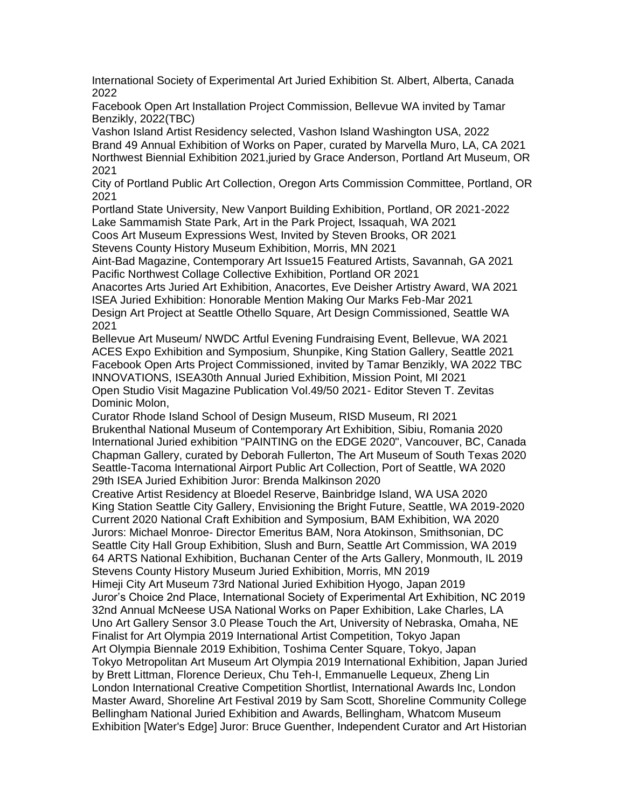International Society of Experimental Art Juried Exhibition St. Albert, Alberta, Canada 2022

Facebook Open Art Installation Project Commission, Bellevue WA invited by Tamar Benzikly, 2022(TBC)

Vashon Island Artist Residency selected, Vashon Island Washington USA, 2022 Brand 49 Annual Exhibition of Works on Paper, curated by Marvella Muro, LA, CA 2021 Northwest Biennial Exhibition 2021,juried by Grace Anderson, Portland Art Museum, OR 2021

City of Portland Public Art Collection, Oregon Arts Commission Committee, Portland, OR 2021

Portland State University, New Vanport Building Exhibition, Portland, OR 2021-2022 Lake Sammamish State Park, Art in the Park Project, Issaquah, WA 2021

Coos Art Museum Expressions West, Invited by Steven Brooks, OR 2021

Stevens County History Museum Exhibition, Morris, MN 2021

Aint-Bad Magazine, Contemporary Art Issue15 Featured Artists, Savannah, GA 2021 Pacific Northwest Collage Collective Exhibition, Portland OR 2021

Anacortes Arts Juried Art Exhibition, Anacortes, Eve Deisher Artistry Award, WA 2021 ISEA Juried Exhibition: Honorable Mention Making Our Marks Feb-Mar 2021 Design Art Project at Seattle Othello Square, Art Design Commissioned, Seattle WA 2021

Bellevue Art Museum/ NWDC Artful Evening Fundraising Event, Bellevue, WA 2021 ACES Expo Exhibition and Symposium, Shunpike, King Station Gallery, Seattle 2021 Facebook Open Arts Project Commissioned, invited by Tamar Benzikly, WA 2022 TBC INNOVATIONS, ISEA30th Annual Juried Exhibition, Mission Point, MI 2021 Open Studio Visit Magazine Publication Vol.49/50 2021- Editor Steven T. Zevitas Dominic Molon,

Curator Rhode Island School of Design Museum, RISD Museum, RI 2021 Brukenthal National Museum of Contemporary Art Exhibition, Sibiu, Romania 2020 International Juried exhibition "PAINTING on the EDGE 2020", Vancouver, BC, Canada Chapman Gallery, curated by Deborah Fullerton, The Art Museum of South Texas 2020 Seattle-Tacoma International Airport Public Art Collection, Port of Seattle, WA 2020 29th ISEA Juried Exhibition Juror: Brenda Malkinson 2020

Creative Artist Residency at Bloedel Reserve, Bainbridge Island, WA USA 2020 King Station Seattle City Gallery, Envisioning the Bright Future, Seattle, WA 2019-2020 Current 2020 National Craft Exhibition and Symposium, BAM Exhibition, WA 2020 Jurors: Michael Monroe- Director Emeritus BAM, Nora Atokinson, Smithsonian, DC Seattle City Hall Group Exhibition, Slush and Burn, Seattle Art Commission, WA 2019 64 ARTS National Exhibition, Buchanan Center of the Arts Gallery, Monmouth, IL 2019 Stevens County History Museum Juried Exhibition, Morris, MN 2019 Himeji City Art Museum 73rd National Juried Exhibition Hyogo, Japan 2019 Juror's Choice 2nd Place, International Society of Experimental Art Exhibition, NC 2019 32nd Annual McNeese USA National Works on Paper Exhibition, Lake Charles, LA Uno Art Gallery Sensor 3.0 Please Touch the Art, University of Nebraska, Omaha, NE Finalist for Art Olympia 2019 International Artist Competition, Tokyo Japan Art Olympia Biennale 2019 Exhibition, Toshima Center Square, Tokyo, Japan Tokyo Metropolitan Art Museum Art Olympia 2019 International Exhibition, Japan Juried by Brett Littman, Florence Derieux, Chu Teh-I, Emmanuelle Lequeux, Zheng Lin London International Creative Competition Shortlist, International Awards Inc, London Master Award, Shoreline Art Festival 2019 by Sam Scott, Shoreline Community College Bellingham National Juried Exhibition and Awards, Bellingham, Whatcom Museum Exhibition [Water's Edge] Juror: Bruce Guenther, Independent Curator and Art Historian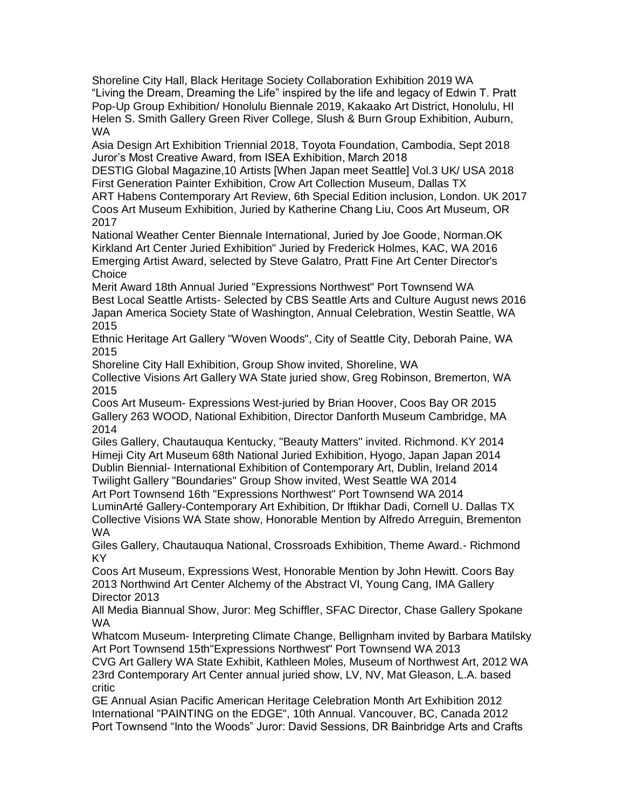Shoreline City Hall, Black Heritage Society Collaboration Exhibition 2019 WA "Living the Dream, Dreaming the Life" inspired by the life and legacy of Edwin T. Pratt Pop-Up Group Exhibition/ Honolulu Biennale 2019, Kakaako Art District, Honolulu, HI Helen S. Smith Gallery Green River College, Slush & Burn Group Exhibition, Auburn, WA

Asia Design Art Exhibition Triennial 2018, Toyota Foundation, Cambodia, Sept 2018 Juror's Most Creative Award, from ISEA Exhibition, March 2018

DESTIG Global Magazine,10 Artists [When Japan meet Seattle] Vol.3 UK/ USA 2018 First Generation Painter Exhibition, Crow Art Collection Museum, Dallas TX

ART Habens Contemporary Art Review, 6th Special Edition inclusion, London. UK 2017 Coos Art Museum Exhibition, Juried by Katherine Chang Liu, Coos Art Museum, OR 2017

National Weather Center Biennale International, Juried by Joe Goode, Norman.OK Kirkland Art Center Juried Exhibition" Juried by Frederick Holmes, KAC, WA 2016 Emerging Artist Award, selected by Steve Galatro, Pratt Fine Art Center Director's **Choice** 

Merit Award 18th Annual Juried "Expressions Northwest" Port Townsend WA Best Local Seattle Artists- Selected by CBS Seattle Arts and Culture August news 2016 Japan America Society State of Washington, Annual Celebration, Westin Seattle, WA 2015

Ethnic Heritage Art Gallery "Woven Woods", City of Seattle City, Deborah Paine, WA 2015

Shoreline City Hall Exhibition, Group Show invited, Shoreline, WA

Collective Visions Art Gallery WA State juried show, Greg Robinson, Bremerton, WA 2015

Coos Art Museum- Expressions West-juried by Brian Hoover, Coos Bay OR 2015 Gallery 263 WOOD, National Exhibition, Director Danforth Museum Cambridge, MA 2014

Giles Gallery, Chautauqua Kentucky, "Beauty Matters" invited. Richmond. KY 2014 Himeji City Art Museum 68th National Juried Exhibition, Hyogo, Japan Japan 2014 Dublin Biennial- International Exhibition of Contemporary Art, Dublin, Ireland 2014 Twilight Gallery "Boundaries" Group Show invited, West Seattle WA 2014

Art Port Townsend 16th "Expressions Northwest" Port Townsend WA 2014 LuminArté Gallery-Contemporary Art Exhibition, Dr Iftikhar Dadi, Cornell U. Dallas TX Collective Visions WA State show, Honorable Mention by Alfredo Arreguin, Brementon WA

Giles Gallery, Chautauqua National, Crossroads Exhibition, Theme Award.- Richmond KY

Coos Art Museum, Expressions West, Honorable Mention by John Hewitt. Coors Bay 2013 Northwind Art Center Alchemy of the Abstract VI, Young Cang, IMA Gallery Director 2013

All Media Biannual Show, Juror: Meg Schiffler, SFAC Director, Chase Gallery Spokane WA

Whatcom Museum- Interpreting Climate Change, Bellignham invited by Barbara Matilsky Art Port Townsend 15th"Expressions Northwest" Port Townsend WA 2013

CVG Art Gallery WA State Exhibit, Kathleen Moles, Museum of Northwest Art, 2012 WA 23rd Contemporary Art Center annual juried show, LV, NV, Mat Gleason, L.A. based critic

GE Annual Asian Pacific American Heritage Celebration Month Art Exhibition 2012 International "PAINTING on the EDGE", 10th Annual. Vancouver, BC, Canada 2012 Port Townsend "Into the Woods" Juror: David Sessions, DR Bainbridge Arts and Crafts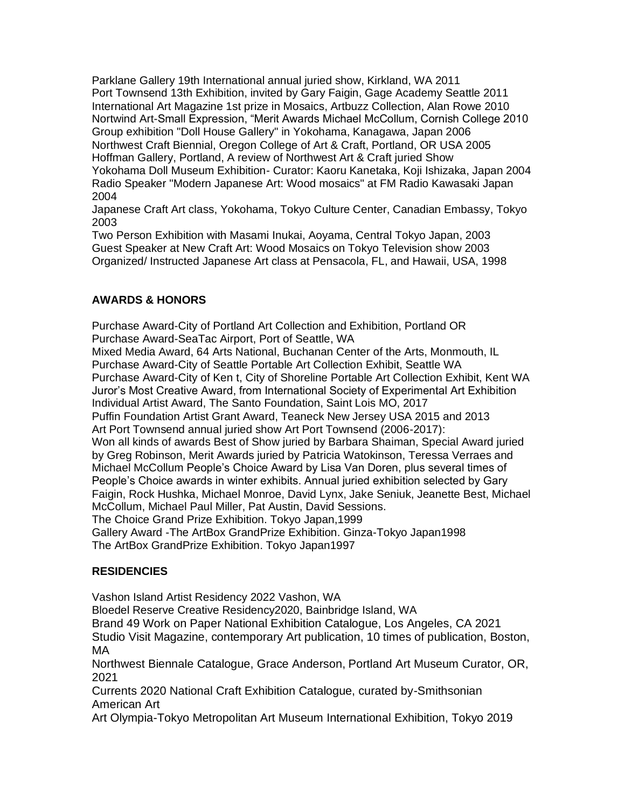Parklane Gallery 19th International annual juried show, Kirkland, WA 2011 Port Townsend 13th Exhibition, invited by Gary Faigin, Gage Academy Seattle 2011 International Art Magazine 1st prize in Mosaics, Artbuzz Collection, Alan Rowe 2010 Nortwind Art-Small Expression, "Merit Awards Michael McCollum, Cornish College 2010 Group exhibition "Doll House Gallery" in Yokohama, Kanagawa, Japan 2006 Northwest Craft Biennial, Oregon College of Art & Craft, Portland, OR USA 2005 Hoffman Gallery, Portland, A review of Northwest Art & Craft juried Show Yokohama Doll Museum Exhibition- Curator: Kaoru Kanetaka, Koji Ishizaka, Japan 2004 Radio Speaker "Modern Japanese Art: Wood mosaics" at FM Radio Kawasaki Japan 2004

Japanese Craft Art class, Yokohama, Tokyo Culture Center, Canadian Embassy, Tokyo 2003

Two Person Exhibition with Masami Inukai, Aoyama, Central Tokyo Japan, 2003 Guest Speaker at New Craft Art: Wood Mosaics on Tokyo Television show 2003 Organized/ Instructed Japanese Art class at Pensacola, FL, and Hawaii, USA, 1998

# **AWARDS & HONORS**

Purchase Award-City of Portland Art Collection and Exhibition, Portland OR Purchase Award-SeaTac Airport, Port of Seattle, WA Mixed Media Award, 64 Arts National, Buchanan Center of the Arts, Monmouth, IL Purchase Award-City of Seattle Portable Art Collection Exhibit, Seattle WA Purchase Award-City of Ken t, City of Shoreline Portable Art Collection Exhibit, Kent WA Juror's Most Creative Award, from International Society of Experimental Art Exhibition Individual Artist Award, The Santo Foundation, Saint Lois MO, 2017 Puffin Foundation Artist Grant Award, Teaneck New Jersey USA 2015 and 2013 Art Port Townsend annual juried show Art Port Townsend (2006-2017): Won all kinds of awards Best of Show juried by Barbara Shaiman, Special Award juried by Greg Robinson, Merit Awards juried by Patricia Watokinson, Teressa Verraes and Michael McCollum People's Choice Award by Lisa Van Doren, plus several times of People's Choice awards in winter exhibits. Annual juried exhibition selected by Gary Faigin, Rock Hushka, Michael Monroe, David Lynx, Jake Seniuk, Jeanette Best, Michael McCollum, Michael Paul Miller, Pat Austin, David Sessions. The Choice Grand Prize Exhibition. Tokyo Japan,1999 Gallery Award -The ArtBox GrandPrize Exhibition. Ginza-Tokyo Japan1998 The ArtBox GrandPrize Exhibition. Tokyo Japan1997

# **RESIDENCIES**

Vashon Island Artist Residency 2022 Vashon, WA Bloedel Reserve Creative Residency2020, Bainbridge Island, WA Brand 49 Work on Paper National Exhibition Catalogue, Los Angeles, CA 2021 Studio Visit Magazine, contemporary Art publication, 10 times of publication, Boston, MA Northwest Biennale Catalogue, Grace Anderson, Portland Art Museum Curator, OR, 2021 Currents 2020 National Craft Exhibition Catalogue, curated by-Smithsonian American Art Art Olympia-Tokyo Metropolitan Art Museum International Exhibition, Tokyo 2019